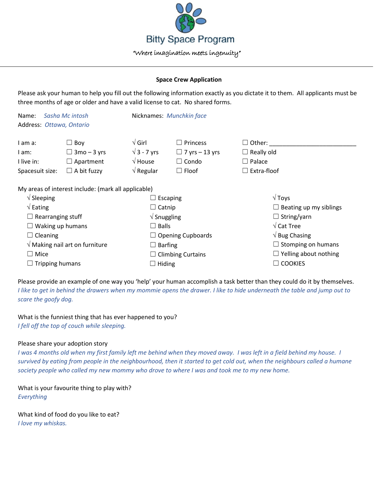

## **Space Crew Application**

Please ask your human to help you fill out the following information exactly as you dictate it to them. All applicants must be three months of age or older and have a valid license to cat. No shared forms.

| Sasha Mc intosh<br>Name:<br>Address: Ottawa, Ontario |                                                     |                                | Nicknames: Munchkin face |                                 |  |
|------------------------------------------------------|-----------------------------------------------------|--------------------------------|--------------------------|---------------------------------|--|
| I am a:                                              | $\Box$ Boy                                          | $\sqrt{G}$ irl                 | $\Box$ Princess          | $\Box$ Other:                   |  |
| I am:                                                | $\Box$ 3mo – 3 yrs                                  | $\sqrt{3}$ - 7 yrs             | $\Box$ 7 yrs – 13 yrs    | $\Box$ Really old               |  |
| I live in:                                           | $\Box$ Apartment                                    | $\sqrt{}$ House                | $\Box$ Condo             | $\Box$ Palace                   |  |
| Spacesuit size:                                      | $\Box$ A bit fuzzy                                  | $\sqrt{ }$ Regular             | $\Box$ Floof             | $\Box$ Extra-floof              |  |
|                                                      | My areas of interest include: (mark all applicable) |                                |                          |                                 |  |
| $\sqrt{\frac{1}{2}}$ Sleeping                        |                                                     | $\Box$ Escaping                |                          | $\sqrt{T}$ oys                  |  |
| $\sqrt{\mathsf{Eating}}$                             |                                                     | $\Box$ Catnip                  |                          | $\Box$ Beating up my siblings   |  |
| $\Box$ Rearranging stuff                             |                                                     | $\sqrt{\frac{1}{2}}$ Snuggling |                          | $\Box$ String/yarn              |  |
| $\Box$ Waking up humans                              |                                                     | $\Box$ Balls                   |                          | $\sqrt{\text{Cat} \text{Tree}}$ |  |
| $\Box$ Cleaning                                      |                                                     |                                | $\Box$ Opening Cupboards | $\sqrt{B}$ Bug Chasing          |  |
| $\sqrt{}$ Making nail art on furniture               |                                                     | $\Box$ Barfing                 |                          | $\Box$ Stomping on humans       |  |
| $\Box$ Mice                                          |                                                     |                                | $\Box$ Climbing Curtains | $\Box$ Yelling about nothing    |  |
| $\Box$ Tripping humans                               |                                                     | $\Box$ Hiding                  |                          | $\Box$ COOKIES                  |  |

Please provide an example of one way you 'help' your human accomplish a task better than they could do it by themselves. *I like to get in behind the drawers when my mommie opens the drawer. I like to hide underneath the table and jump out to scare the goofy dog.* 

What is the funniest thing that has ever happened to you? *I fell off the top of couch while sleeping.*

## Please share your adoption story

*I* was 4 months old when my first family left me behind when they moved away. I was left in a field behind my house. I *survived by eating from people in the neighbourhood, then it started to get cold out, when the neighbours called a humane society people who called my new mommy who drove to where I was and took me to my new home.*

What is your favourite thing to play with? *Everything*

What kind of food do you like to eat? *I love my whiskas.*